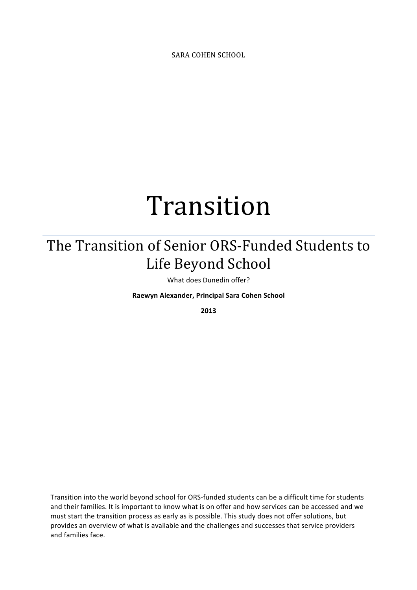SARA COHEN SCHOOL

# Transition

# The Transition of Senior ORS-Funded Students to Life Beyond School

What does Dunedin offer?

Raewyn Alexander, Principal Sara Cohen School

**2013**

Transition into the world beyond school for ORS-funded students can be a difficult time for students and their families. It is important to know what is on offer and how services can be accessed and we must start the transition process as early as is possible. This study does not offer solutions, but provides an overview of what is available and the challenges and successes that service providers and families face.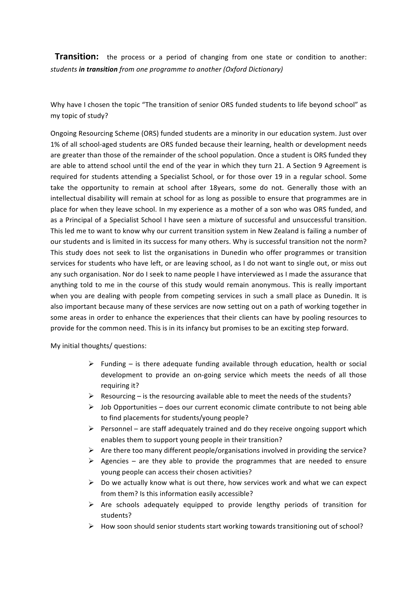**Transition:** the process or a period of changing from one state or condition to another: *students in transition from one programme to another (Oxford Dictionary)* 

Why have I chosen the topic "The transition of senior ORS funded students to life beyond school" as my topic of study?

Ongoing Resourcing Scheme (ORS) funded students are a minority in our education system. Just over 1% of all school-aged students are ORS funded because their learning, health or development needs are greater than those of the remainder of the school population. Once a student is ORS funded they are able to attend school until the end of the year in which they turn 21. A Section 9 Agreement is required for students attending a Specialist School, or for those over 19 in a regular school. Some take the opportunity to remain at school after 18years, some do not. Generally those with an intellectual disability will remain at school for as long as possible to ensure that programmes are in place for when they leave school. In my experience as a mother of a son who was ORS funded, and as a Principal of a Specialist School I have seen a mixture of successful and unsuccessful transition. This led me to want to know why our current transition system in New Zealand is failing a number of our students and is limited in its success for many others. Why is successful transition not the norm? This study does not seek to list the organisations in Dunedin who offer programmes or transition services for students who have left, or are leaving school, as I do not want to single out, or miss out any such organisation. Nor do I seek to name people I have interviewed as I made the assurance that anything told to me in the course of this study would remain anonymous. This is really important when you are dealing with people from competing services in such a small place as Dunedin. It is also important because many of these services are now setting out on a path of working together in some areas in order to enhance the experiences that their clients can have by pooling resources to provide for the common need. This is in its infancy but promises to be an exciting step forward.

My initial thoughts/ questions:

- $\triangleright$  Funding is there adequate funding available through education, health or social development to provide an on-going service which meets the needs of all those requiring it?
- $\triangleright$  Resourcing is the resourcing available able to meet the needs of the students?
- $\triangleright$  Job Opportunities does our current economic climate contribute to not being able to find placements for students/young people?
- $\triangleright$  Personnel are staff adequately trained and do they receive ongoing support which enables them to support young people in their transition?
- $\triangleright$  Are there too many different people/organisations involved in providing the service?
- $\triangleright$  Agencies are they able to provide the programmes that are needed to ensure young people can access their chosen activities?
- $\triangleright$  Do we actually know what is out there, how services work and what we can expect from them? Is this information easily accessible?
- $\triangleright$  Are schools adequately equipped to provide lengthy periods of transition for students?
- $\triangleright$  How soon should senior students start working towards transitioning out of school?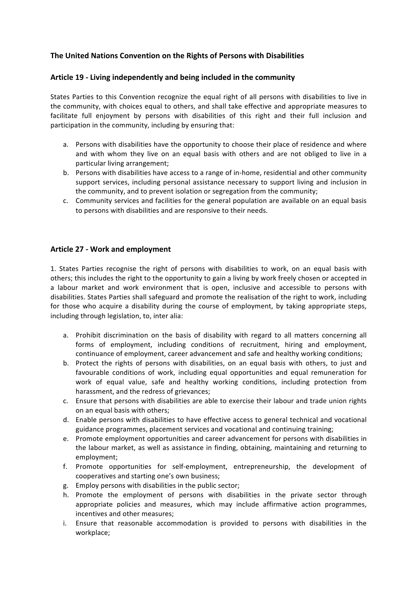# The United Nations Convention on the Rights of Persons with Disabilities

# Article 19 - Living independently and being included in the community

States Parties to this Convention recognize the equal right of all persons with disabilities to live in the community, with choices equal to others, and shall take effective and appropriate measures to facilitate full enjoyment by persons with disabilities of this right and their full inclusion and participation in the community, including by ensuring that:

- a. Persons with disabilities have the opportunity to choose their place of residence and where and with whom they live on an equal basis with others and are not obliged to live in a particular living arrangement:
- b. Persons with disabilities have access to a range of in-home, residential and other community support services, including personal assistance necessary to support living and inclusion in the community, and to prevent isolation or segregation from the community;
- c. Community services and facilities for the general population are available on an equal basis to persons with disabilities and are responsive to their needs.

# Article 27 - Work and employment

1. States Parties recognise the right of persons with disabilities to work, on an equal basis with others; this includes the right to the opportunity to gain a living by work freely chosen or accepted in a labour market and work environment that is open, inclusive and accessible to persons with disabilities. States Parties shall safeguard and promote the realisation of the right to work, including for those who acquire a disability during the course of employment, by taking appropriate steps, including through legislation, to, inter alia:

- a. Prohibit discrimination on the basis of disability with regard to all matters concerning all forms of employment, including conditions of recruitment, hiring and employment, continuance of employment, career advancement and safe and healthy working conditions;
- b. Protect the rights of persons with disabilities, on an equal basis with others, to just and favourable conditions of work, including equal opportunities and equal remuneration for work of equal value, safe and healthy working conditions, including protection from harassment, and the redress of grievances;
- c. Ensure that persons with disabilities are able to exercise their labour and trade union rights on an equal basis with others;
- d. Enable persons with disabilities to have effective access to general technical and vocational guidance programmes, placement services and vocational and continuing training;
- e. Promote employment opportunities and career advancement for persons with disabilities in the labour market, as well as assistance in finding, obtaining, maintaining and returning to employment;
- f. Promote opportunities for self-employment, entrepreneurship, the development of cooperatives and starting one's own business;
- g. Employ persons with disabilities in the public sector;
- h. Promote the employment of persons with disabilities in the private sector through appropriate policies and measures, which may include affirmative action programmes, incentives and other measures;
- i. Ensure that reasonable accommodation is provided to persons with disabilities in the workplace;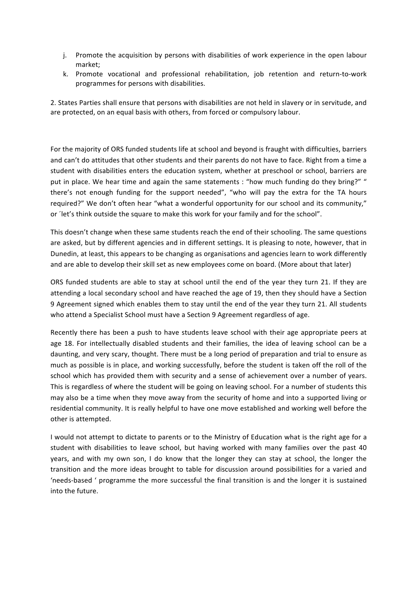- j. Promote the acquisition by persons with disabilities of work experience in the open labour market;
- k. Promote vocational and professional rehabilitation, job retention and return-to-work programmes for persons with disabilities.

2. States Parties shall ensure that persons with disabilities are not held in slavery or in servitude, and are protected, on an equal basis with others, from forced or compulsory labour.

For the majority of ORS funded students life at school and beyond is fraught with difficulties, barriers and can't do attitudes that other students and their parents do not have to face. Right from a time a student with disabilities enters the education system, whether at preschool or school, barriers are put in place. We hear time and again the same statements : "how much funding do they bring?" " there's not enough funding for the support needed", "who will pay the extra for the TA hours required?" We don't often hear "what a wonderful opportunity for our school and its community," or 'let's think outside the square to make this work for your family and for the school".

This doesn't change when these same students reach the end of their schooling. The same questions are asked, but by different agencies and in different settings. It is pleasing to note, however, that in Dunedin, at least, this appears to be changing as organisations and agencies learn to work differently and are able to develop their skill set as new employees come on board. (More about that later)

ORS funded students are able to stay at school until the end of the year they turn 21. If they are attending a local secondary school and have reached the age of 19, then they should have a Section 9 Agreement signed which enables them to stay until the end of the year they turn 21. All students who attend a Specialist School must have a Section 9 Agreement regardless of age.

Recently there has been a push to have students leave school with their age appropriate peers at age 18. For intellectually disabled students and their families, the idea of leaving school can be a daunting, and very scary, thought. There must be a long period of preparation and trial to ensure as much as possible is in place, and working successfully, before the student is taken off the roll of the school which has provided them with security and a sense of achievement over a number of years. This is regardless of where the student will be going on leaving school. For a number of students this may also be a time when they move away from the security of home and into a supported living or residential community. It is really helpful to have one move established and working well before the other is attempted.

I would not attempt to dictate to parents or to the Ministry of Education what is the right age for a student with disabilities to leave school, but having worked with many families over the past 40 years, and with my own son, I do know that the longer they can stay at school, the longer the transition and the more ideas brought to table for discussion around possibilities for a varied and 'needs-based ' programme the more successful the final transition is and the longer it is sustained into the future.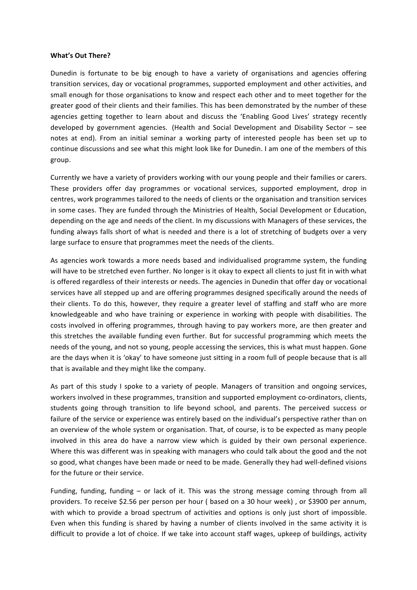#### **What's Out There?**

Dunedin is fortunate to be big enough to have a variety of organisations and agencies offering transition services, day or vocational programmes, supported employment and other activities, and small enough for those organisations to know and respect each other and to meet together for the greater good of their clients and their families. This has been demonstrated by the number of these agencies getting together to learn about and discuss the 'Enabling Good Lives' strategy recently developed by government agencies. (Health and Social Development and Disability Sector – see notes at end). From an initial seminar a working party of interested people has been set up to continue discussions and see what this might look like for Dunedin. I am one of the members of this group.

Currently we have a variety of providers working with our young people and their families or carers. These providers offer day programmes or vocational services, supported employment, drop in centres, work programmes tailored to the needs of clients or the organisation and transition services in some cases. They are funded through the Ministries of Health, Social Development or Education, depending on the age and needs of the client. In my discussions with Managers of these services, the funding always falls short of what is needed and there is a lot of stretching of budgets over a very large surface to ensure that programmes meet the needs of the clients.

As agencies work towards a more needs based and individualised programme system, the funding will have to be stretched even further. No longer is it okay to expect all clients to just fit in with what is offered regardless of their interests or needs. The agencies in Dunedin that offer day or vocational services have all stepped up and are offering programmes designed specifically around the needs of their clients. To do this, however, they require a greater level of staffing and staff who are more knowledgeable and who have training or experience in working with people with disabilities. The costs involved in offering programmes, through having to pay workers more, are then greater and this stretches the available funding even further. But for successful programming which meets the needs of the young, and not so young, people accessing the services, this is what must happen. Gone are the days when it is 'okay' to have someone just sitting in a room full of people because that is all that is available and they might like the company.

As part of this study I spoke to a variety of people. Managers of transition and ongoing services, workers involved in these programmes, transition and supported employment co-ordinators, clients, students going through transition to life beyond school, and parents. The perceived success or failure of the service or experience was entirely based on the individual's perspective rather than on an overview of the whole system or organisation. That, of course, is to be expected as many people involved in this area do have a narrow view which is guided by their own personal experience. Where this was different was in speaking with managers who could talk about the good and the not so good, what changes have been made or need to be made. Generally they had well-defined visions for the future or their service.

Funding, funding, funding – or lack of it. This was the strong message coming through from all providers. To receive \$2.56 per person per hour ( based on a 30 hour week), or \$3900 per annum, with which to provide a broad spectrum of activities and options is only just short of impossible. Even when this funding is shared by having a number of clients involved in the same activity it is difficult to provide a lot of choice. If we take into account staff wages, upkeep of buildings, activity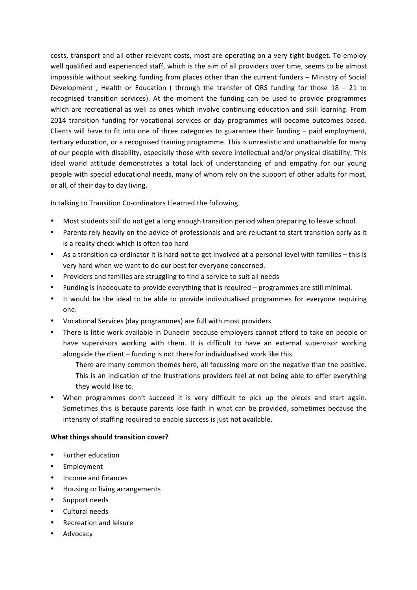costs, transport and all other relevant costs, most are operating on a very tight budget. To employ well qualified and experienced staff, which is the aim of all providers over time, seems to be almost impossible without seeking funding from places other than the current funders – Ministry of Social Development, Health or Education ( through the transfer of ORS funding for those  $18 - 21$  to recognised transition services). At the moment the funding can be used to provide programmes which are recreational as well as ones which involve continuing education and skill learning. From 2014 transition funding for vocational services or day programmes will become outcomes based. Clients will have to fit into one of three categories to guarantee their funding – paid employment, tertiary education, or a recognised training programme. This is unrealistic and unattainable for many of our people with disability, especially those with severe intellectual and/or physical disability. This ideal world attitude demonstrates a total lack of understanding of and empathy for our young people with special educational needs, many of whom rely on the support of other adults for most, or all, of their day to day living.

In talking to Transition Co-ordinators I learned the following.

- Most students still do not get a long enough transition period when preparing to leave school.
- Parents rely heavily on the advice of professionals and are reluctant to start transition early as it is a reality check which is often too hard
- As a transition co-ordinator it is hard not to get involved at a personal level with families this is very hard when we want to do our best for everyone concerned.
- Providers and families are struggling to find a service to suit all needs
- Funding is inadequate to provide everything that is required programmes are still minimal.
- It would be the ideal to be able to provide individualised programmes for everyone requiring one.
- Vocational Services (day programmes) are full with most providers
- There is little work available in Dunedin because employers cannot afford to take on people or have supervisors working with them. It is difficult to have an external supervisor working alongside the client – funding is not there for individualised work like this.
	- There are many common themes here, all focussing more on the negative than the positive. This is an indication of the frustrations providers feel at not being able to offer everything they would like to.
- When programmes don't succeed it is very difficult to pick up the pieces and start again. Sometimes this is because parents lose faith in what can be provided, sometimes because the intensity of staffing required to enable success is just not available.

# What things should transition cover?

- Further education
- Employment
- Income and finances
- Housing or living arrangements
- Support needs
- Cultural needs
- Recreation and leisure
- Advocacy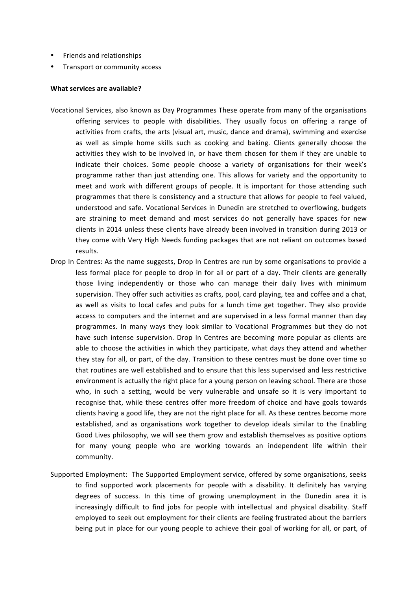- Friends and relationships
- Transport or community access

#### **What services are available?**

- Vocational Services, also known as Day Programmes These operate from many of the organisations offering services to people with disabilities. They usually focus on offering a range of activities from crafts, the arts (visual art, music, dance and drama), swimming and exercise as well as simple home skills such as cooking and baking. Clients generally choose the activities they wish to be involved in, or have them chosen for them if they are unable to indicate their choices. Some people choose a variety of organisations for their week's programme rather than just attending one. This allows for variety and the opportunity to meet and work with different groups of people. It is important for those attending such programmes that there is consistency and a structure that allows for people to feel valued, understood and safe. Vocational Services in Dunedin are stretched to overflowing, budgets are straining to meet demand and most services do not generally have spaces for new clients in 2014 unless these clients have already been involved in transition during 2013 or they come with Very High Needs funding packages that are not reliant on outcomes based results.
- Drop In Centres: As the name suggests, Drop In Centres are run by some organisations to provide a less formal place for people to drop in for all or part of a day. Their clients are generally those living independently or those who can manage their daily lives with minimum supervision. They offer such activities as crafts, pool, card playing, tea and coffee and a chat, as well as visits to local cafes and pubs for a lunch time get together. They also provide access to computers and the internet and are supervised in a less formal manner than day programmes. In many ways they look similar to Vocational Programmes but they do not have such intense supervision. Drop In Centres are becoming more popular as clients are able to choose the activities in which they participate, what days they attend and whether they stay for all, or part, of the day. Transition to these centres must be done over time so that routines are well established and to ensure that this less supervised and less restrictive environment is actually the right place for a young person on leaving school. There are those who, in such a setting, would be very vulnerable and unsafe so it is very important to recognise that, while these centres offer more freedom of choice and have goals towards clients having a good life, they are not the right place for all. As these centres become more established, and as organisations work together to develop ideals similar to the Enabling Good Lives philosophy, we will see them grow and establish themselves as positive options for many young people who are working towards an independent life within their community.
- Supported Employment: The Supported Employment service, offered by some organisations, seeks to find supported work placements for people with a disability. It definitely has varying degrees of success. In this time of growing unemployment in the Dunedin area it is increasingly difficult to find jobs for people with intellectual and physical disability. Staff employed to seek out employment for their clients are feeling frustrated about the barriers being put in place for our young people to achieve their goal of working for all, or part, of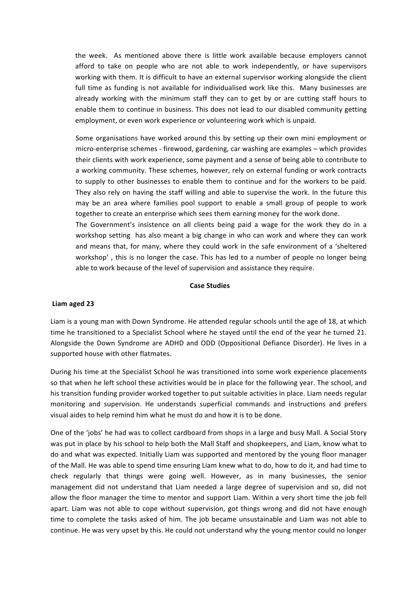the week. As mentioned above there is little work available because employers cannot afford to take on people who are not able to work independently, or have supervisors working with them. It is difficult to have an external supervisor working alongside the client full time as funding is not available for individualised work like this. Many businesses are already working with the minimum staff they can to get by or are cutting staff hours to enable them to continue in business. This does not lead to our disabled community getting employment, or even work experience or volunteering work which is unpaid.

Some organisations have worked around this by setting up their own mini employment or micro-enterprise schemes - firewood, gardening, car washing are examples – which provides their clients with work experience, some payment and a sense of being able to contribute to a working community. These schemes, however, rely on external funding or work contracts to supply to other businesses to enable them to continue and for the workers to be paid. They also rely on having the staff willing and able to supervise the work. In the future this may be an area where families pool support to enable a small group of people to work together to create an enterprise which sees them earning money for the work done.

The Government's insistence on all clients being paid a wage for the work they do in a workshop setting has also meant a big change in who can work and where they can work and means that, for many, where they could work in the safe environment of a 'sheltered workshop', this is no longer the case. This has led to a number of people no longer being able to work because of the level of supervision and assistance they require.

#### **Case Studies**

#### **Liam'aged'23**

Liam is a young man with Down Syndrome. He attended regular schools until the age of 18, at which time he transitioned to a Specialist School where he stayed until the end of the year he turned 21. Alongside the Down Syndrome are ADHD and ODD (Oppositional Defiance Disorder). He lives in a supported house with other flatmates.

During his time at the Specialist School he was transitioned into some work experience placements so that when he left school these activities would be in place for the following year. The school, and his transition funding provider worked together to put suitable activities in place. Liam needs regular monitoring and supervision. He understands superficial commands and instructions and prefers visual aides to help remind him what he must do and how it is to be done.

One of the 'jobs' he had was to collect cardboard from shops in a large and busy Mall. A Social Story was put in place by his school to help both the Mall Staff and shopkeepers, and Liam, know what to do and what was expected. Initially Liam was supported and mentored by the young floor manager of the Mall. He was able to spend time ensuring Liam knew what to do, how to do it, and had time to check regularly that things were going well. However, as in many businesses, the senior management did not understand that Liam needed a large degree of supervision and so, did not allow the floor manager the time to mentor and support Liam. Within a very short time the job fell apart. Liam was not able to cope without supervision, got things wrong and did not have enough time to complete the tasks asked of him. The job became unsustainable and Liam was not able to continue. He was very upset by this. He could not understand why the young mentor could no longer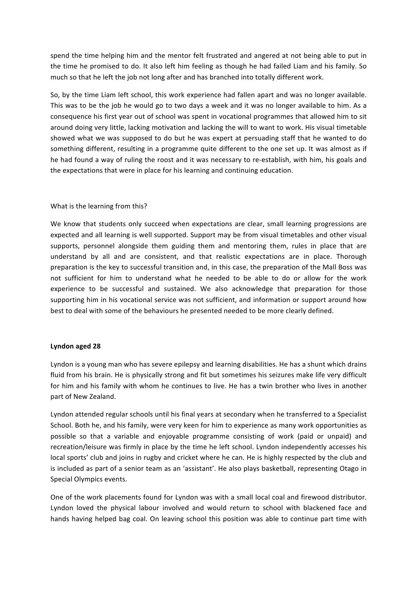spend the time helping him and the mentor felt frustrated and angered at not being able to put in the time he promised to do. It also left him feeling as though he had failed Liam and his family. So much so that he left the job not long after and has branched into totally different work.

So, by the time Liam left school, this work experience had fallen apart and was no longer available. This was to be the job he would go to two days a week and it was no longer available to him. As a consequence his first year out of school was spent in vocational programmes that allowed him to sit around doing very little, lacking motivation and lacking the will to want to work. His visual timetable showed what we was supposed to do but he was expert at persuading staff that he wanted to do something different, resulting in a programme quite different to the one set up. It was almost as if he had found a way of ruling the roost and it was necessary to re-establish, with him, his goals and the expectations that were in place for his learning and continuing education.

# What is the learning from this?

We know that students only succeed when expectations are clear, small learning progressions are expected and all learning is well supported. Support may be from visual timetables and other visual supports, personnel alongside them guiding them and mentoring them, rules in place that are understand by all and are consistent, and that realistic expectations are in place. Thorough preparation is the key to successful transition and, in this case, the preparation of the Mall Boss was not sufficient for him to understand what he needed to be able to do or allow for the work experience to be successful and sustained. We also acknowledge that preparation for those supporting him in his vocational service was not sufficient, and information or support around how best to deal with some of the behaviours he presented needed to be more clearly defined.

# **Lyndon'aged'28**

Lyndon is a young man who has severe epilepsy and learning disabilities. He has a shunt which drains fluid from his brain. He is physically strong and fit but sometimes his seizures make life very difficult for him and his family with whom he continues to live. He has a twin brother who lives in another part of New Zealand.

Lyndon attended regular schools until his final years at secondary when he transferred to a Specialist School. Both he, and his family, were very keen for him to experience as many work opportunities as possible so that a variable and enjoyable programme consisting of work (paid or unpaid) and recreation/leisure was firmly in place by the time he left school. Lyndon independently accesses his local sports' club and joins in rugby and cricket where he can. He is highly respected by the club and is included as part of a senior team as an 'assistant'. He also plays basketball, representing Otago in Special Olympics events.

One of the work placements found for Lyndon was with a small local coal and firewood distributor. Lyndon loved the physical labour involved and would return to school with blackened face and hands having helped bag coal. On leaving school this position was able to continue part time with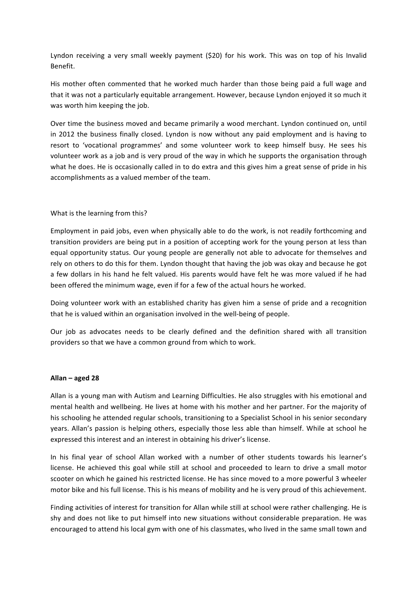Lyndon receiving a very small weekly payment (\$20) for his work. This was on top of his Invalid Benefit.

His mother often commented that he worked much harder than those being paid a full wage and that it was not a particularly equitable arrangement. However, because Lyndon enjoyed it so much it was worth him keeping the job.

Over time the business moved and became primarily a wood merchant. Lyndon continued on, until in 2012 the business finally closed. Lyndon is now without any paid employment and is having to resort to 'vocational programmes' and some volunteer work to keep himself busy. He sees his volunteer work as a job and is very proud of the way in which he supports the organisation through what he does. He is occasionally called in to do extra and this gives him a great sense of pride in his accomplishments as a valued member of the team.

# What is the learning from this?

Employment in paid jobs, even when physically able to do the work, is not readily forthcoming and transition providers are being put in a position of accepting work for the young person at less than equal opportunity status. Our young people are generally not able to advocate for themselves and rely on others to do this for them. Lyndon thought that having the job was okay and because he got a few dollars in his hand he felt valued. His parents would have felt he was more valued if he had been offered the minimum wage, even if for a few of the actual hours he worked.

Doing volunteer work with an established charity has given him a sense of pride and a recognition that he is valued within an organisation involved in the well-being of people.

Our job as advocates needs to be clearly defined and the definition shared with all transition providers so that we have a common ground from which to work.

# **Allan'– aged'28**

Allan is a young man with Autism and Learning Difficulties. He also struggles with his emotional and mental health and wellbeing. He lives at home with his mother and her partner. For the majority of his schooling he attended regular schools, transitioning to a Specialist School in his senior secondary years. Allan's passion is helping others, especially those less able than himself. While at school he expressed this interest and an interest in obtaining his driver's license.

In his final year of school Allan worked with a number of other students towards his learner's license. He achieved this goal while still at school and proceeded to learn to drive a small motor scooter on which he gained his restricted license. He has since moved to a more powerful 3 wheeler motor bike and his full license. This is his means of mobility and he is very proud of this achievement.

Finding activities of interest for transition for Allan while still at school were rather challenging. He is shy and does not like to put himself into new situations without considerable preparation. He was encouraged to attend his local gym with one of his classmates, who lived in the same small town and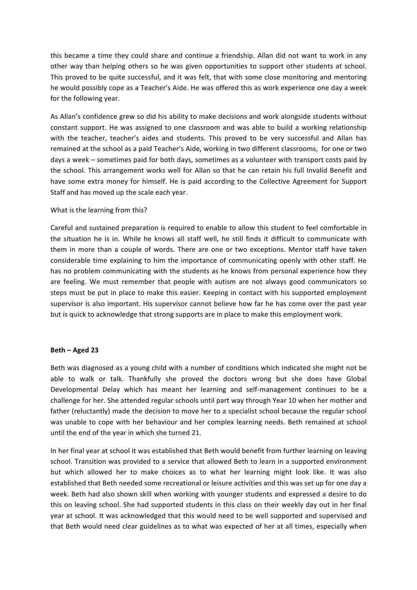this became a time they could share and continue a friendship. Allan did not want to work in any other way than helping others so he was given opportunities to support other students at school. This proved to be quite successful, and it was felt, that with some close monitoring and mentoring he would possibly cope as a Teacher's Aide. He was offered this as work experience one day a week for the following year.

As Allan's confidence grew so did his ability to make decisions and work alongside students without constant support. He was assigned to one classroom and was able to build a working relationship with the teacher, teacher's aides and students. This proved to be very successful and Allan has remained at the school as a paid Teacher's Aide, working in two different classrooms, for one or two days a week – sometimes paid for both days, sometimes as a volunteer with transport costs paid by the school. This arrangement works well for Allan so that he can retain his full Invalid Benefit and have some extra money for himself. He is paid according to the Collective Agreement for Support Staff and has moved up the scale each year.

#### What is the learning from this?

Careful and sustained preparation is required to enable to allow this student to feel comfortable in the situation he is in. While he knows all staff well, he still finds it difficult to communicate with them in more than a couple of words. There are one or two exceptions. Mentor staff have taken considerable time explaining to him the importance of communicating openly with other staff. He has no problem communicating with the students as he knows from personal experience how they are feeling. We must remember that people with autism are not always good communicators so steps must be put in place to make this easier. Keeping in contact with his supported employment supervisor is also important. His supervisor cannot believe how far he has come over the past year but is quick to acknowledge that strong supports are in place to make this employment work.

#### **Beth'– Aged'23**

Beth was diagnosed as a young child with a number of conditions which indicated she might not be able to walk or talk. Thankfully she proved the doctors wrong but she does have Global Developmental Delay which has meant her learning and self-management continues to be a challenge for her. She attended regular schools until part way through Year 10 when her mother and father (reluctantly) made the decision to move her to a specialist school because the regular school was unable to cope with her behaviour and her complex learning needs. Beth remained at school until the end of the year in which she turned 21.

In her final year at school it was established that Beth would benefit from further learning on leaving school. Transition was provided to a service that allowed Beth to learn in a supported environment but which allowed her to make choices as to what her learning might look like. It was also established that Beth needed some recreational or leisure activities and this was set up for one day a week. Beth had also shown skill when working with younger students and expressed a desire to do this on leaving school. She had supported students in this class on their weekly day out in her final year at school. It was acknowledged that this would need to be well supported and supervised and that Beth would need clear guidelines as to what was expected of her at all times, especially when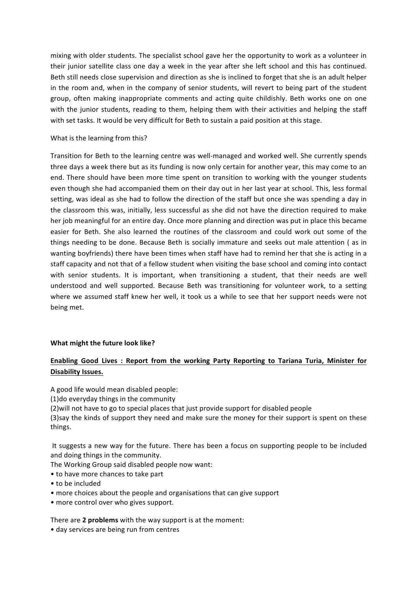mixing with older students. The specialist school gave her the opportunity to work as a volunteer in their junior satellite class one day a week in the year after she left school and this has continued. Beth still needs close supervision and direction as she is inclined to forget that she is an adult helper in the room and, when in the company of senior students, will revert to being part of the student group, often making inappropriate comments and acting quite childishly. Beth works one on one with the junior students, reading to them, helping them with their activities and helping the staff with set tasks. It would be very difficult for Beth to sustain a paid position at this stage.

# What is the learning from this?

Transition for Beth to the learning centre was well-managed and worked well. She currently spends three days a week there but as its funding is now only certain for another year, this may come to an end. There should have been more time spent on transition to working with the younger students even though she had accompanied them on their day out in her last year at school. This, less formal setting, was ideal as she had to follow the direction of the staff but once she was spending a day in the classroom this was, initially, less successful as she did not have the direction required to make her job meaningful for an entire day. Once more planning and direction was put in place this became easier for Beth. She also learned the routines of the classroom and could work out some of the things needing to be done. Because Beth is socially immature and seeks out male attention ( as in wanting boyfriends) there have been times when staff have had to remind her that she is acting in a staff capacity and not that of a fellow student when visiting the base school and coming into contact with senior students. It is important, when transitioning a student, that their needs are well understood and well supported. Because Beth was transitioning for volunteer work, to a setting where we assumed staff knew her well, it took us a while to see that her support needs were not being met.

# What might the future look like?

# **Enabling' Good' Lives : Report' from' the' working' Party' Reporting' to' Tariana' Turia,' Minister' for' Disability'Issues.**

A good life would mean disabled people:

- $(1)$ do everyday things in the community
- (2) will not have to go to special places that just provide support for disabled people

(3)say the kinds of support they need and make sure the money for their support is spent on these things.

It suggests a new way for the future. There has been a focus on supporting people to be included and doing things in the community.

- The Working Group said disabled people now want:
- to have more chances to take part
- $\bullet$  to be included
- more choices about the people and organisations that can give support
- more control over who gives support.

There are 2 problems with the way support is at the moment:

• day services are being run from centres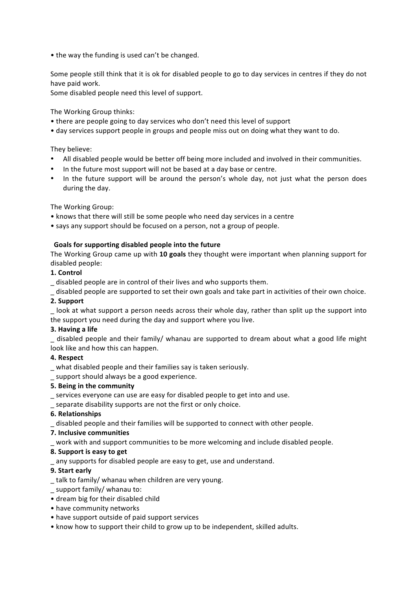$\bullet$  the way the funding is used can't be changed.

Some people still think that it is ok for disabled people to go to day services in centres if they do not have paid work.

Some disabled people need this level of support.

The Working Group thinks:

- there are people going to day services who don't need this level of support
- day services support people in groups and people miss out on doing what they want to do.

They believe:

- All disabled people would be better off being more included and involved in their communities.
- In the future most support will not be based at a day base or centre.
- In the future support will be around the person's whole day, not just what the person does during the day.

The Working Group:

- knows that there will still be some people who need day services in a centre
- says any support should be focused on a person, not a group of people.

# Goals for supporting disabled people into the future

The Working Group came up with 10 goals they thought were important when planning support for disabled people:

# 1. Control

\_%disabled%people%are%in%control%of%their%lives%and%who%supports%them.

\_ disabled people are supported to set their own goals and take part in activities of their own choice. 2. Support

\_ look at what support a person needs across their whole day, rather than split up the support into the support you need during the day and support where you live.

# **3. Having a life**

\_ disabled people and their family/ whanau are supported to dream about what a good life might look like and how this can happen.

# **4.'Respect**

\_ what disabled people and their families say is taken seriously.

\_ support should always be a good experience.

# **5. Being in the community**

\_ services everyone can use are easy for disabled people to get into and use.

\_ separate disability supports are not the first or only choice.

# **6.'Relationships**

\_ disabled people and their families will be supported to connect with other people.

# **7. Inclusive communities**

work with and support communities to be more welcoming and include disabled people.

# **8.'Support'is'easy'to'get**

\_ any supports for disabled people are easy to get, use and understand.

# **9. Start early**

- \_ talk to family/ whanau when children are very young.
- \_ support family/ whanau to:
- dream big for their disabled child
- have community networks
- have support outside of paid support services
- know how to support their child to grow up to be independent, skilled adults.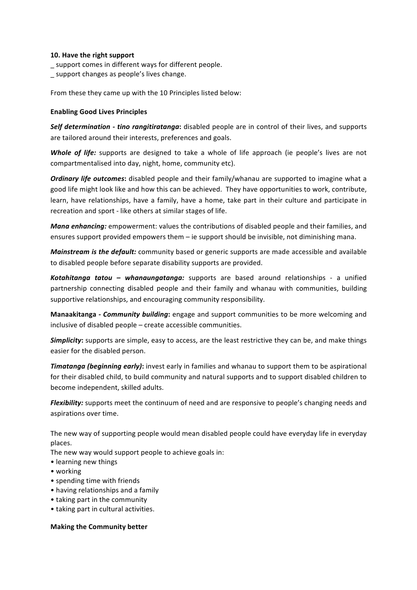#### 10. Have the right support

- \_ support comes in different ways for different people.
- \_ support changes as people's lives change.

From these they came up with the 10 Principles listed below:

#### **Enabling Good Lives Principles**

**Self determination - tino rangitiratanga:** disabled people are in control of their lives, and supports are tailored around their interests, preferences and goals.

*Whole of life:* supports are designed to take a whole of life approach (ie people's lives are not compartmentalised into day, night, home, community etc).

*Ordinary life outcomes*: disabled people and their family/whanau are supported to imagine what a good life might look like and how this can be achieved. They have opportunities to work, contribute, learn, have relationships, have a family, have a home, take part in their culture and participate in recreation and sport - like others at similar stages of life.

*Mana enhancing:* empowerment: values the contributions of disabled people and their families, and ensures support provided empowers them – ie support should be invisible, not diminishing mana.

*Mainstream is the default:* community based or generic supports are made accessible and available to disabled people before separate disability supports are provided.

**Kotahitanga tatou – whanaungatanga:** supports are based around relationships - a unified partnership connecting disabled people and their family and whanau with communities, building supportive relationships, and encouraging community responsibility.

**Manaakitanga** *- Community building*: engage and support communities to be more welcoming and  $inclusive$  of disabled people – create accessible communities.

**Simplicity:** supports are simple, easy to access, are the least restrictive they can be, and make things easier for the disabled person.

**Timatanga (beginning early):** invest early in families and whanau to support them to be aspirational for their disabled child, to build community and natural supports and to support disabled children to become independent, skilled adults.

*Flexibility:* supports meet the continuum of need and are responsive to people's changing needs and aspirations over time.

The new way of supporting people would mean disabled people could have everyday life in everyday places.

The new way would support people to achieve goals in:

- learning new things
- working
- spending time with friends
- having relationships and a family
- $\bullet$  taking part in the community
- taking part in cultural activities.

#### **Making'the'Community'better**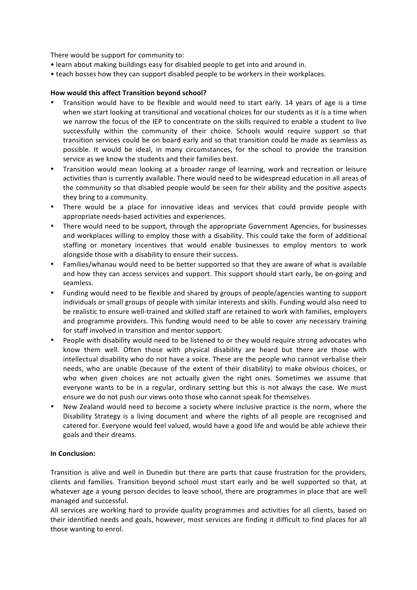There would be support for community to:

- learn about making buildings easy for disabled people to get into and around in.
- teach bosses how they can support disabled people to be workers in their workplaces.

# How would this affect Transition beyond school?

- Transition would have to be flexible and would need to start early. 14 years of age is a time when we start looking at transitional and vocational choices for our students as it is a time when we narrow the focus of the IEP to concentrate on the skills required to enable a student to live successfully within the community of their choice. Schools would require support so that transition services could be on board early and so that transition could be made as seamless as possible. It would be ideal, in many circumstances, for the school to provide the transition service as we know the students and their families best.
- Transition would mean looking at a broader range of learning, work and recreation or leisure activities than is currently available. There would need to be widespread education in all areas of the community so that disabled people would be seen for their ability and the positive aspects they bring to a community.
- There would be a place for innovative ideas and services that could provide people with appropriate needs-based activities and experiences.
- There would need to be support, through the appropriate Government Agencies, for businesses and workplaces willing to employ those with a disability. This could take the form of additional staffing or monetary incentives that would enable businesses to employ mentors to work alongside those with a disability to ensure their success.
- Families/whanau would need to be better supported so that they are aware of what is available and how they can access services and support. This support should start early, be on-going and seamless.
- Funding would need to be flexible and shared by groups of people/agencies wanting to support individuals or small groups of people with similar interests and skills. Funding would also need to be realistic to ensure well-trained and skilled staff are retained to work with families, employers and programme providers. This funding would need to be able to cover any necessary training for staff involved in transition and mentor support.
- People with disability would need to be listened to or they would require strong advocates who know them well. Often those with physical disability are heard but there are those with intellectual disability who do not have a voice. These are the people who cannot verbalise their needs, who are unable (because of the extent of their disability) to make obvious choices, or who when given choices are not actually given the right ones. Sometimes we assume that everyone wants to be in a regular, ordinary setting but this is not always the case. We must ensure we do not push our views onto those who cannot speak for themselves.
- New Zealand would need to become a society where inclusive practice is the norm, where the Disability Strategy is a living document and where the rights of all people are recognised and catered for. Everyone would feel valued, would have a good life and would be able achieve their goals and their dreams.

# **In'Conclusion:**

Transition is alive and well in Dunedin but there are parts that cause frustration for the providers, clients and families. Transition beyond school must start early and be well supported so that, at whatever age a young person decides to leave school, there are programmes in place that are well managed and successful.

All services are working hard to provide quality programmes and activities for all clients, based on their identified needs and goals, however, most services are finding it difficult to find places for all those wanting to enrol.